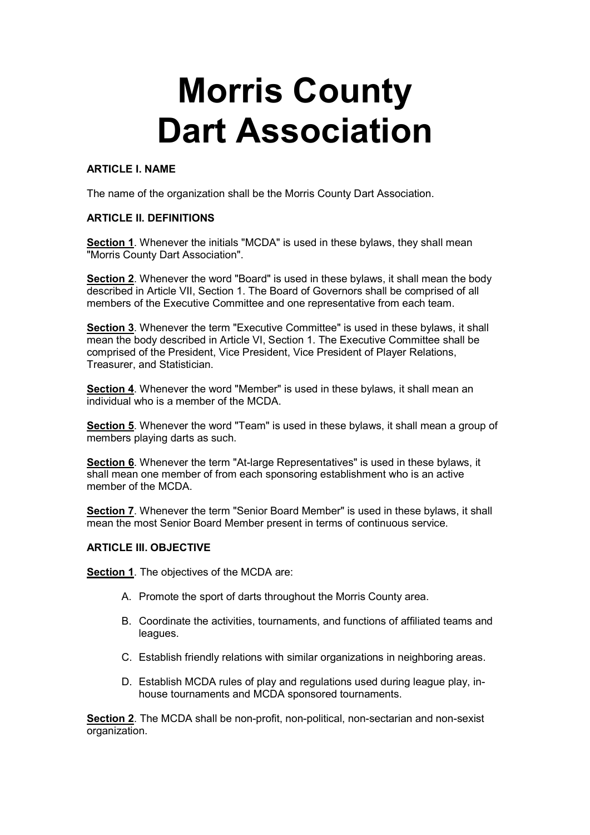# Morris County Dart Association

## ARTICLE I. NAME

The name of the organization shall be the Morris County Dart Association.

# ARTICLE II. DEFINITIONS

Section 1. Whenever the initials "MCDA" is used in these bylaws, they shall mean "Morris County Dart Association".

Section 2. Whenever the word "Board" is used in these bylaws, it shall mean the body described in Article VII, Section 1. The Board of Governors shall be comprised of all members of the Executive Committee and one representative from each team.

Section 3. Whenever the term "Executive Committee" is used in these bylaws, it shall mean the body described in Article VI, Section 1. The Executive Committee shall be comprised of the President, Vice President, Vice President of Player Relations, Treasurer, and Statistician.

Section 4. Whenever the word "Member" is used in these bylaws, it shall mean an individual who is a member of the MCDA.

Section 5. Whenever the word "Team" is used in these bylaws, it shall mean a group of members playing darts as such.

Section 6. Whenever the term "At-large Representatives" is used in these bylaws, it shall mean one member of from each sponsoring establishment who is an active member of the MCDA

Section 7. Whenever the term "Senior Board Member" is used in these bylaws, it shall mean the most Senior Board Member present in terms of continuous service.

# ARTICLE III. OBJECTIVE

Section 1. The objectives of the MCDA are:

- A. Promote the sport of darts throughout the Morris County area.
- B. Coordinate the activities, tournaments, and functions of affiliated teams and leagues.
- C. Establish friendly relations with similar organizations in neighboring areas.
- D. Establish MCDA rules of play and regulations used during league play, inhouse tournaments and MCDA sponsored tournaments.

Section 2. The MCDA shall be non-profit, non-political, non-sectarian and non-sexist organization.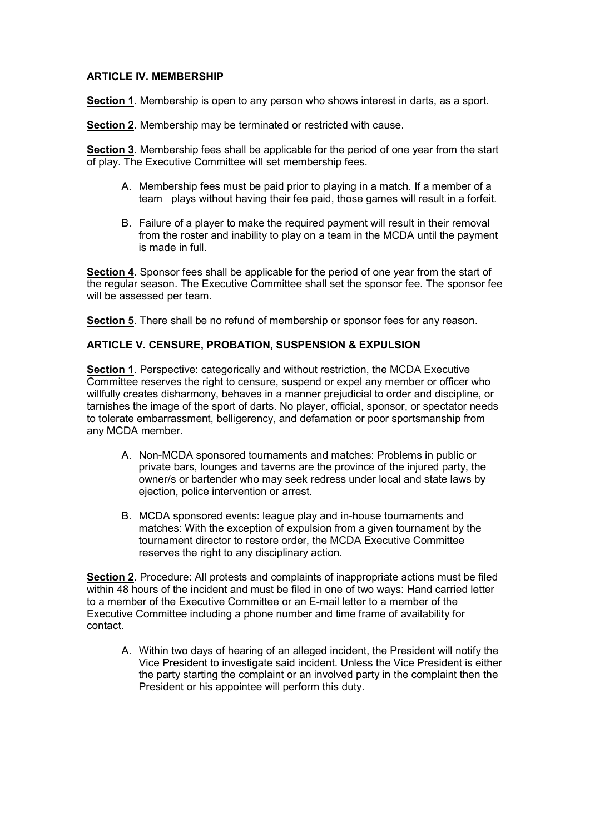## ARTICLE IV. MEMBERSHIP

Section 1. Membership is open to any person who shows interest in darts, as a sport.

Section 2. Membership may be terminated or restricted with cause.

Section 3. Membership fees shall be applicable for the period of one year from the start of play. The Executive Committee will set membership fees.

- A. Membership fees must be paid prior to playing in a match. If a member of a team plays without having their fee paid, those games will result in a forfeit.
- B. Failure of a player to make the required payment will result in their removal from the roster and inability to play on a team in the MCDA until the payment is made in full.

Section 4. Sponsor fees shall be applicable for the period of one year from the start of the regular season. The Executive Committee shall set the sponsor fee. The sponsor fee will be assessed per team.

Section 5. There shall be no refund of membership or sponsor fees for any reason.

#### ARTICLE V. CENSURE, PROBATION, SUSPENSION & EXPULSION

Section 1. Perspective: categorically and without restriction, the MCDA Executive Committee reserves the right to censure, suspend or expel any member or officer who willfully creates disharmony, behaves in a manner prejudicial to order and discipline, or tarnishes the image of the sport of darts. No player, official, sponsor, or spectator needs to tolerate embarrassment, belligerency, and defamation or poor sportsmanship from any MCDA member.

- A. Non-MCDA sponsored tournaments and matches: Problems in public or private bars, lounges and taverns are the province of the injured party, the owner/s or bartender who may seek redress under local and state laws by ejection, police intervention or arrest.
- B. MCDA sponsored events: league play and in-house tournaments and matches: With the exception of expulsion from a given tournament by the tournament director to restore order, the MCDA Executive Committee reserves the right to any disciplinary action.

Section 2. Procedure: All protests and complaints of inappropriate actions must be filed within 48 hours of the incident and must be filed in one of two ways: Hand carried letter to a member of the Executive Committee or an E-mail letter to a member of the Executive Committee including a phone number and time frame of availability for contact.

A. Within two days of hearing of an alleged incident, the President will notify the Vice President to investigate said incident. Unless the Vice President is either the party starting the complaint or an involved party in the complaint then the President or his appointee will perform this duty.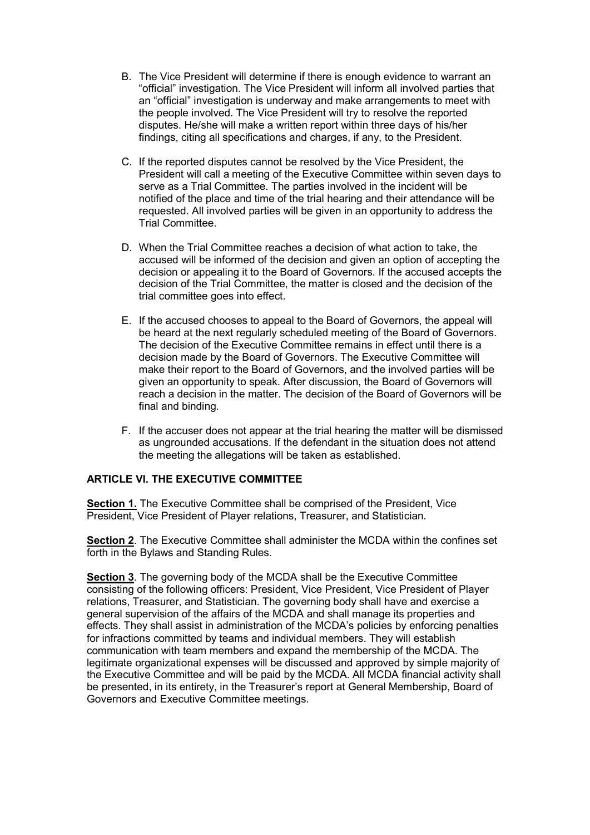- B. The Vice President will determine if there is enough evidence to warrant an "official" investigation. The Vice President will inform all involved parties that an "official" investigation is underway and make arrangements to meet with the people involved. The Vice President will try to resolve the reported disputes. He/she will make a written report within three days of his/her findings, citing all specifications and charges, if any, to the President.
- C. If the reported disputes cannot be resolved by the Vice President, the President will call a meeting of the Executive Committee within seven days to serve as a Trial Committee. The parties involved in the incident will be notified of the place and time of the trial hearing and their attendance will be requested. All involved parties will be given in an opportunity to address the Trial Committee.
- D. When the Trial Committee reaches a decision of what action to take, the accused will be informed of the decision and given an option of accepting the decision or appealing it to the Board of Governors. If the accused accepts the decision of the Trial Committee, the matter is closed and the decision of the trial committee goes into effect.
- E. If the accused chooses to appeal to the Board of Governors, the appeal will be heard at the next regularly scheduled meeting of the Board of Governors. The decision of the Executive Committee remains in effect until there is a decision made by the Board of Governors. The Executive Committee will make their report to the Board of Governors, and the involved parties will be given an opportunity to speak. After discussion, the Board of Governors will reach a decision in the matter. The decision of the Board of Governors will be final and binding.
- F. If the accuser does not appear at the trial hearing the matter will be dismissed as ungrounded accusations. If the defendant in the situation does not attend the meeting the allegations will be taken as established.

# ARTICLE VI. THE EXECUTIVE COMMITTEE

Section 1. The Executive Committee shall be comprised of the President, Vice President, Vice President of Player relations, Treasurer, and Statistician.

Section 2. The Executive Committee shall administer the MCDA within the confines set forth in the Bylaws and Standing Rules.

Section 3. The governing body of the MCDA shall be the Executive Committee consisting of the following officers: President, Vice President, Vice President of Player relations, Treasurer, and Statistician. The governing body shall have and exercise a general supervision of the affairs of the MCDA and shall manage its properties and effects. They shall assist in administration of the MCDA's policies by enforcing penalties for infractions committed by teams and individual members. They will establish communication with team members and expand the membership of the MCDA. The legitimate organizational expenses will be discussed and approved by simple majority of the Executive Committee and will be paid by the MCDA. All MCDA financial activity shall be presented, in its entirety, in the Treasurer's report at General Membership, Board of Governors and Executive Committee meetings.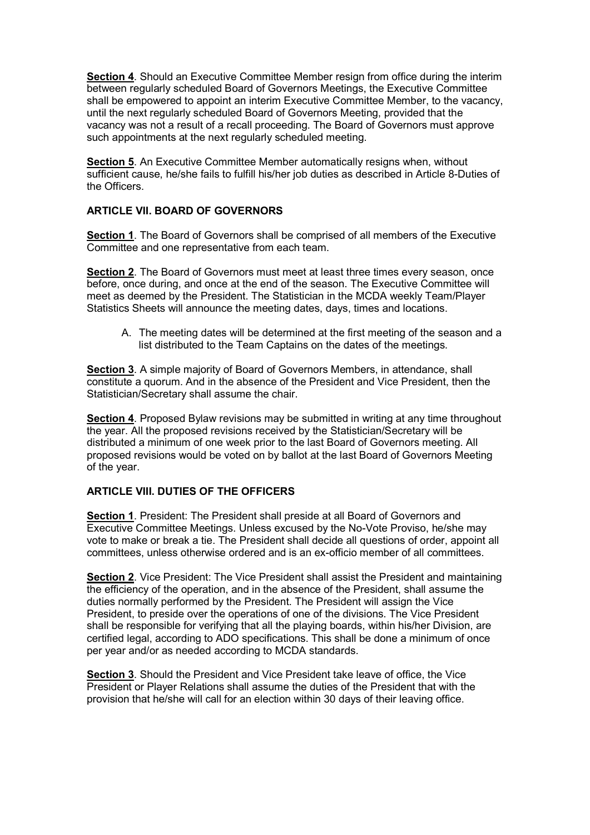Section 4. Should an Executive Committee Member resign from office during the interim between regularly scheduled Board of Governors Meetings, the Executive Committee shall be empowered to appoint an interim Executive Committee Member, to the vacancy, until the next regularly scheduled Board of Governors Meeting, provided that the vacancy was not a result of a recall proceeding. The Board of Governors must approve such appointments at the next regularly scheduled meeting.

Section 5. An Executive Committee Member automatically resigns when. without sufficient cause, he/she fails to fulfill his/her job duties as described in Article 8-Duties of the Officers.

# ARTICLE VII. BOARD OF GOVERNORS

Section 1. The Board of Governors shall be comprised of all members of the Executive Committee and one representative from each team.

Section 2. The Board of Governors must meet at least three times every season, once before, once during, and once at the end of the season. The Executive Committee will meet as deemed by the President. The Statistician in the MCDA weekly Team/Player Statistics Sheets will announce the meeting dates, days, times and locations.

A. The meeting dates will be determined at the first meeting of the season and a list distributed to the Team Captains on the dates of the meetings.

Section 3. A simple majority of Board of Governors Members, in attendance, shall constitute a quorum. And in the absence of the President and Vice President, then the Statistician/Secretary shall assume the chair.

Section 4. Proposed Bylaw revisions may be submitted in writing at any time throughout the year. All the proposed revisions received by the Statistician/Secretary will be distributed a minimum of one week prior to the last Board of Governors meeting. All proposed revisions would be voted on by ballot at the last Board of Governors Meeting of the year.

#### ARTICLE VIII. DUTIES OF THE OFFICERS

Section 1. President: The President shall preside at all Board of Governors and Executive Committee Meetings. Unless excused by the No-Vote Proviso, he/she may vote to make or break a tie. The President shall decide all questions of order, appoint all committees, unless otherwise ordered and is an ex-officio member of all committees.

Section 2. Vice President: The Vice President shall assist the President and maintaining the efficiency of the operation, and in the absence of the President, shall assume the duties normally performed by the President. The President will assign the Vice President, to preside over the operations of one of the divisions. The Vice President shall be responsible for verifying that all the playing boards, within his/her Division, are certified legal, according to ADO specifications. This shall be done a minimum of once per year and/or as needed according to MCDA standards.

Section 3. Should the President and Vice President take leave of office, the Vice President or Player Relations shall assume the duties of the President that with the provision that he/she will call for an election within 30 days of their leaving office.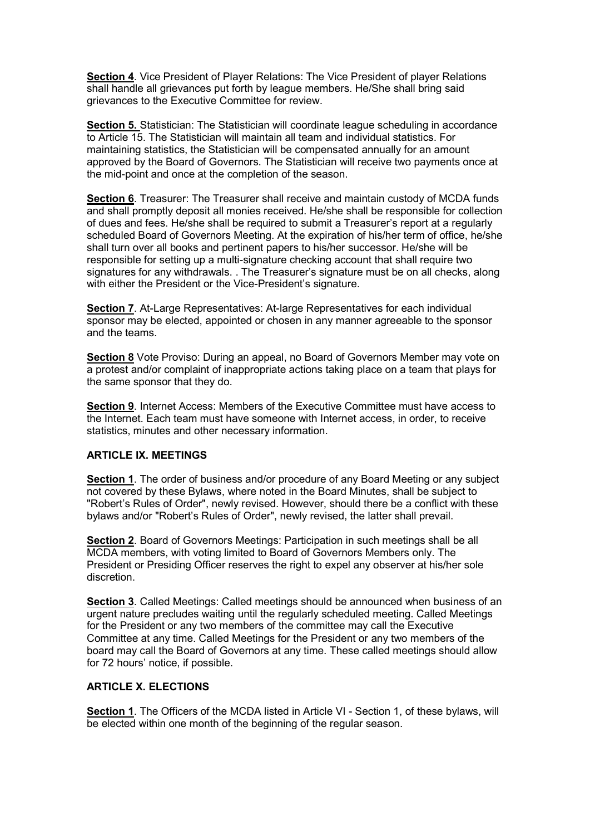Section 4. Vice President of Player Relations: The Vice President of player Relations shall handle all grievances put forth by league members. He/She shall bring said grievances to the Executive Committee for review.

Section 5. Statistician: The Statistician will coordinate league scheduling in accordance to Article 15. The Statistician will maintain all team and individual statistics. For maintaining statistics, the Statistician will be compensated annually for an amount approved by the Board of Governors. The Statistician will receive two payments once at the mid-point and once at the completion of the season.

Section 6. Treasurer: The Treasurer shall receive and maintain custody of MCDA funds and shall promptly deposit all monies received. He/she shall be responsible for collection of dues and fees. He/she shall be required to submit a Treasurer's report at a regularly scheduled Board of Governors Meeting. At the expiration of his/her term of office, he/she shall turn over all books and pertinent papers to his/her successor. He/she will be responsible for setting up a multi-signature checking account that shall require two signatures for any withdrawals. . The Treasurer's signature must be on all checks, along with either the President or the Vice-President's signature.

Section 7. At-Large Representatives: At-large Representatives for each individual sponsor may be elected, appointed or chosen in any manner agreeable to the sponsor and the teams.

Section 8 Vote Proviso: During an appeal, no Board of Governors Member may vote on a protest and/or complaint of inappropriate actions taking place on a team that plays for the same sponsor that they do.

Section 9. Internet Access: Members of the Executive Committee must have access to the Internet. Each team must have someone with Internet access, in order, to receive statistics, minutes and other necessary information.

# ARTICLE IX. MEETINGS

Section 1. The order of business and/or procedure of any Board Meeting or any subject not covered by these Bylaws, where noted in the Board Minutes, shall be subject to "Robert's Rules of Order", newly revised. However, should there be a conflict with these bylaws and/or "Robert's Rules of Order", newly revised, the latter shall prevail.

Section 2. Board of Governors Meetings: Participation in such meetings shall be all MCDA members, with voting limited to Board of Governors Members only. The President or Presiding Officer reserves the right to expel any observer at his/her sole discretion.

Section 3. Called Meetings: Called meetings should be announced when business of an urgent nature precludes waiting until the regularly scheduled meeting. Called Meetings for the President or any two members of the committee may call the Executive Committee at any time. Called Meetings for the President or any two members of the board may call the Board of Governors at any time. These called meetings should allow for 72 hours' notice, if possible.

#### ARTICLE X. ELECTIONS

Section 1. The Officers of the MCDA listed in Article VI - Section 1. of these bylaws, will be elected within one month of the beginning of the regular season.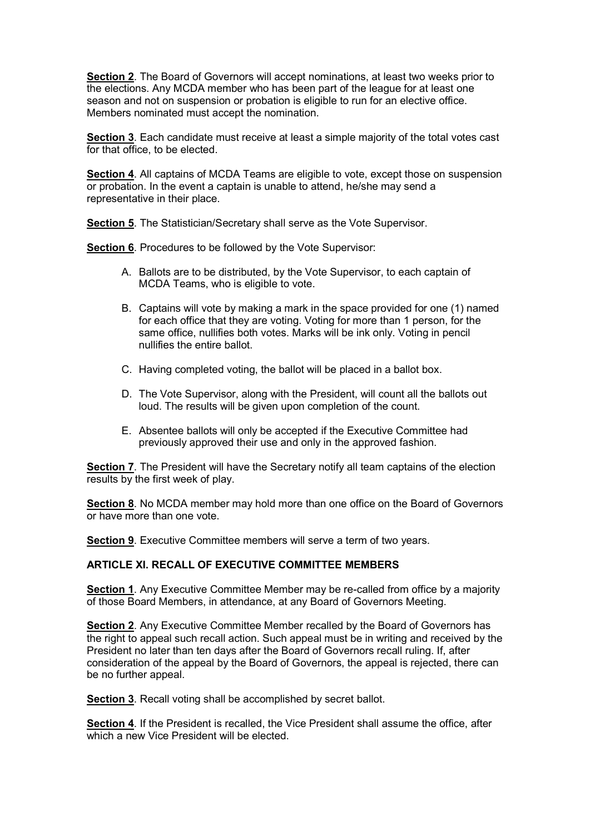Section 2. The Board of Governors will accept nominations, at least two weeks prior to the elections. Any MCDA member who has been part of the league for at least one season and not on suspension or probation is eligible to run for an elective office. Members nominated must accept the nomination.

Section 3. Each candidate must receive at least a simple majority of the total votes cast for that office, to be elected.

Section 4. All captains of MCDA Teams are eligible to vote, except those on suspension or probation. In the event a captain is unable to attend, he/she may send a representative in their place.

Section 5. The Statistician/Secretary shall serve as the Vote Supervisor.

Section 6. Procedures to be followed by the Vote Supervisor:

- A. Ballots are to be distributed, by the Vote Supervisor, to each captain of MCDA Teams, who is eligible to vote.
- B. Captains will vote by making a mark in the space provided for one (1) named for each office that they are voting. Voting for more than 1 person, for the same office, nullifies both votes. Marks will be ink only. Voting in pencil nullifies the entire ballot.
- C. Having completed voting, the ballot will be placed in a ballot box.
- D. The Vote Supervisor, along with the President, will count all the ballots out loud. The results will be given upon completion of the count.
- E. Absentee ballots will only be accepted if the Executive Committee had previously approved their use and only in the approved fashion.

Section 7. The President will have the Secretary notify all team captains of the election results by the first week of play.

Section 8. No MCDA member may hold more than one office on the Board of Governors or have more than one vote.

Section 9. Executive Committee members will serve a term of two years.

# ARTICLE XI. RECALL OF EXECUTIVE COMMITTEE MEMBERS

Section 1. Any Executive Committee Member may be re-called from office by a majority of those Board Members, in attendance, at any Board of Governors Meeting.

Section 2. Any Executive Committee Member recalled by the Board of Governors has the right to appeal such recall action. Such appeal must be in writing and received by the President no later than ten days after the Board of Governors recall ruling. If, after consideration of the appeal by the Board of Governors, the appeal is rejected, there can be no further appeal.

Section 3. Recall voting shall be accomplished by secret ballot.

Section 4. If the President is recalled, the Vice President shall assume the office, after which a new Vice President will be elected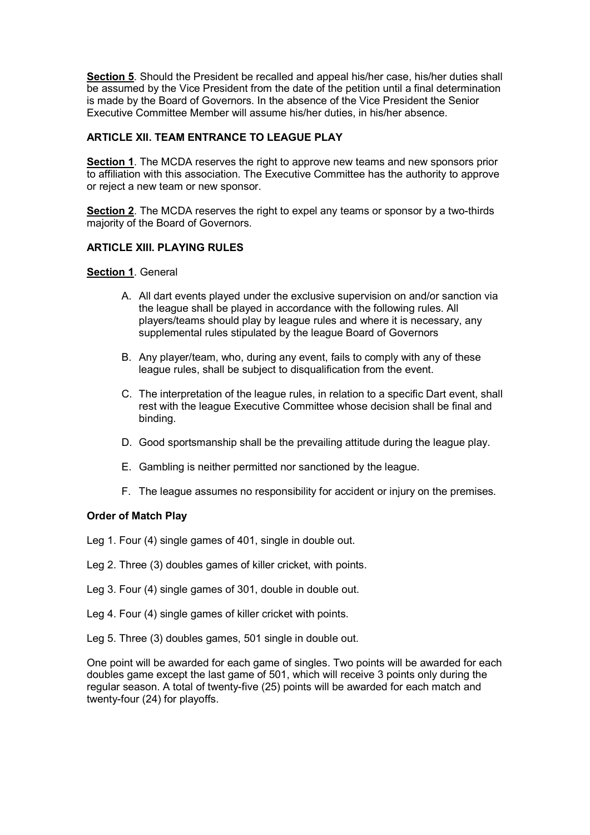Section 5. Should the President be recalled and appeal his/her case, his/her duties shall be assumed by the Vice President from the date of the petition until a final determination is made by the Board of Governors. In the absence of the Vice President the Senior Executive Committee Member will assume his/her duties, in his/her absence.

# ARTICLE XII. TEAM ENTRANCE TO LEAGUE PLAY

Section 1. The MCDA reserves the right to approve new teams and new sponsors prior to affiliation with this association. The Executive Committee has the authority to approve or reject a new team or new sponsor.

Section 2. The MCDA reserves the right to expel any teams or sponsor by a two-thirds majority of the Board of Governors.

# ARTICLE XIII. PLAYING RULES

## Section 1. General

- A. All dart events played under the exclusive supervision on and/or sanction via the league shall be played in accordance with the following rules. All players/teams should play by league rules and where it is necessary, any supplemental rules stipulated by the league Board of Governors
- B. Any player/team, who, during any event, fails to comply with any of these league rules, shall be subject to disqualification from the event.
- C. The interpretation of the league rules, in relation to a specific Dart event, shall rest with the league Executive Committee whose decision shall be final and binding.
- D. Good sportsmanship shall be the prevailing attitude during the league play.
- E. Gambling is neither permitted nor sanctioned by the league.
- F. The league assumes no responsibility for accident or injury on the premises.

#### Order of Match Play

Leg 1. Four (4) single games of 401, single in double out.

- Leg 2. Three (3) doubles games of killer cricket, with points.
- Leg 3. Four (4) single games of 301, double in double out.
- Leg 4. Four (4) single games of killer cricket with points.
- Leg 5. Three (3) doubles games, 501 single in double out.

One point will be awarded for each game of singles. Two points will be awarded for each doubles game except the last game of 501, which will receive 3 points only during the regular season. A total of twenty-five (25) points will be awarded for each match and twenty-four (24) for playoffs.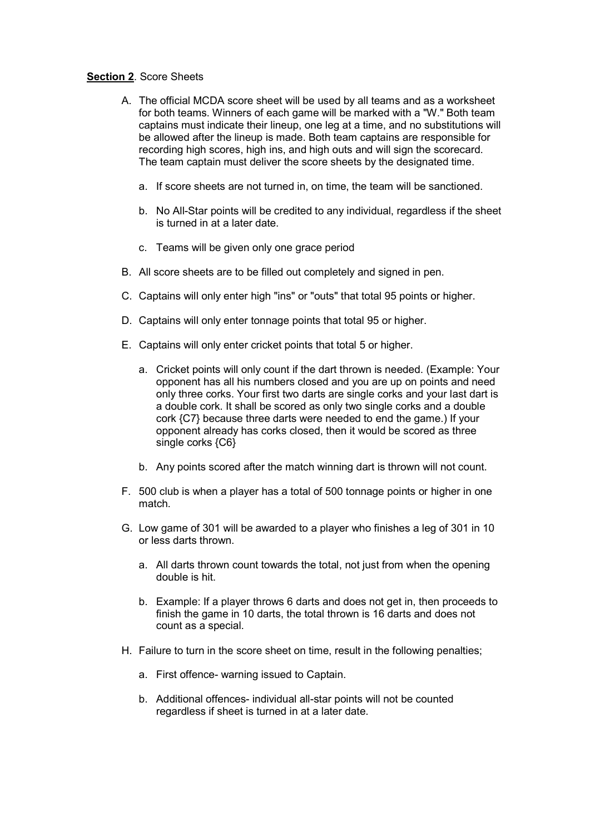# **Section 2. Score Sheets**

- A. The official MCDA score sheet will be used by all teams and as a worksheet for both teams. Winners of each game will be marked with a "W." Both team captains must indicate their lineup, one leg at a time, and no substitutions will be allowed after the lineup is made. Both team captains are responsible for recording high scores, high ins, and high outs and will sign the scorecard. The team captain must deliver the score sheets by the designated time.
	- a. If score sheets are not turned in, on time, the team will be sanctioned.
	- b. No All-Star points will be credited to any individual, regardless if the sheet is turned in at a later date.
	- c. Teams will be given only one grace period
- B. All score sheets are to be filled out completely and signed in pen.
- C. Captains will only enter high "ins" or "outs" that total 95 points or higher.
- D. Captains will only enter tonnage points that total 95 or higher.
- E. Captains will only enter cricket points that total 5 or higher.
	- a. Cricket points will only count if the dart thrown is needed. (Example: Your opponent has all his numbers closed and you are up on points and need only three corks. Your first two darts are single corks and your last dart is a double cork. It shall be scored as only two single corks and a double cork {C7} because three darts were needed to end the game.) If your opponent already has corks closed, then it would be scored as three single corks {C6}
	- b. Any points scored after the match winning dart is thrown will not count.
- F. 500 club is when a player has a total of 500 tonnage points or higher in one match.
- G. Low game of 301 will be awarded to a player who finishes a leg of 301 in 10 or less darts thrown.
	- a. All darts thrown count towards the total, not just from when the opening double is hit.
	- b. Example: If a player throws 6 darts and does not get in, then proceeds to finish the game in 10 darts, the total thrown is 16 darts and does not count as a special.
- H. Failure to turn in the score sheet on time, result in the following penalties;
	- a. First offence- warning issued to Captain.
	- b. Additional offences- individual all-star points will not be counted regardless if sheet is turned in at a later date.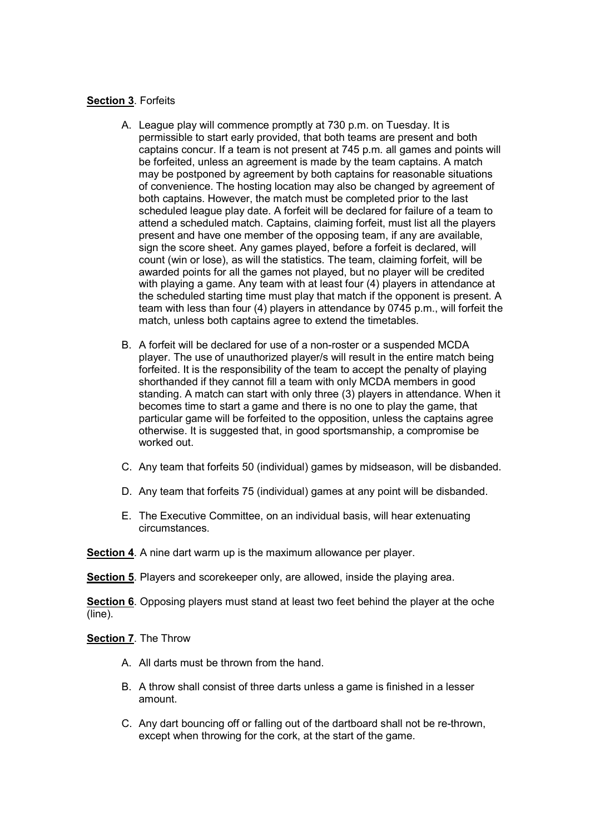#### **Section 3. Forfeits**

- A. League play will commence promptly at 730 p.m. on Tuesday. It is permissible to start early provided, that both teams are present and both captains concur. If a team is not present at 745 p.m. all games and points will be forfeited, unless an agreement is made by the team captains. A match may be postponed by agreement by both captains for reasonable situations of convenience. The hosting location may also be changed by agreement of both captains. However, the match must be completed prior to the last scheduled league play date. A forfeit will be declared for failure of a team to attend a scheduled match. Captains, claiming forfeit, must list all the players present and have one member of the opposing team, if any are available, sign the score sheet. Any games played, before a forfeit is declared, will count (win or lose), as will the statistics. The team, claiming forfeit, will be awarded points for all the games not played, but no player will be credited with playing a game. Any team with at least four (4) players in attendance at the scheduled starting time must play that match if the opponent is present. A team with less than four (4) players in attendance by 0745 p.m., will forfeit the match, unless both captains agree to extend the timetables.
- B. A forfeit will be declared for use of a non-roster or a suspended MCDA player. The use of unauthorized player/s will result in the entire match being forfeited. It is the responsibility of the team to accept the penalty of playing shorthanded if they cannot fill a team with only MCDA members in good standing. A match can start with only three (3) players in attendance. When it becomes time to start a game and there is no one to play the game, that particular game will be forfeited to the opposition, unless the captains agree otherwise. It is suggested that, in good sportsmanship, a compromise be worked out.
- C. Any team that forfeits 50 (individual) games by midseason, will be disbanded.
- D. Any team that forfeits 75 (individual) games at any point will be disbanded.
- E. The Executive Committee, on an individual basis, will hear extenuating circumstances.

Section 4. A nine dart warm up is the maximum allowance per player.

Section 5. Players and scorekeeper only, are allowed, inside the playing area.

Section 6. Opposing players must stand at least two feet behind the player at the oche (line).

Section 7. The Throw

- A. All darts must be thrown from the hand.
- B. A throw shall consist of three darts unless a game is finished in a lesser amount.
- C. Any dart bouncing off or falling out of the dartboard shall not be re-thrown, except when throwing for the cork, at the start of the game.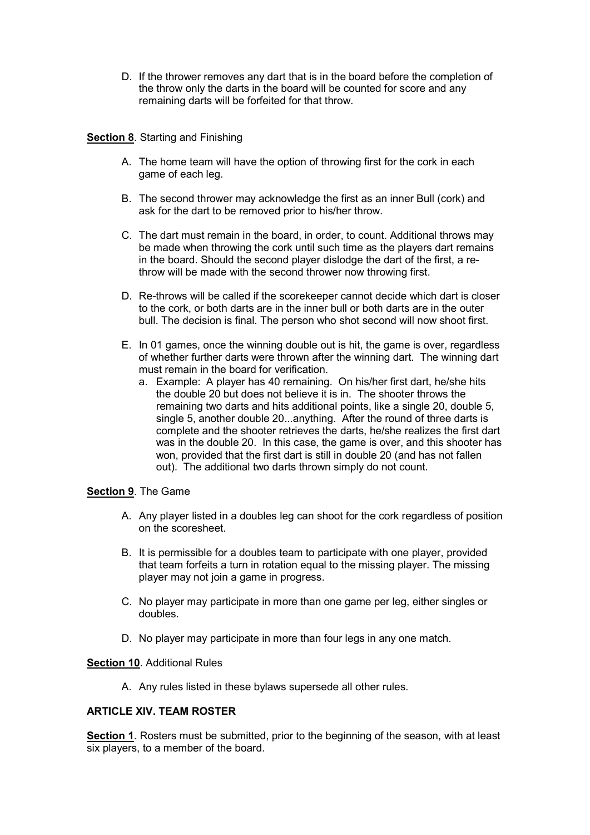D. If the thrower removes any dart that is in the board before the completion of the throw only the darts in the board will be counted for score and any remaining darts will be forfeited for that throw.

## Section 8. Starting and Finishing

- A. The home team will have the option of throwing first for the cork in each game of each leg.
- B. The second thrower may acknowledge the first as an inner Bull (cork) and ask for the dart to be removed prior to his/her throw.
- C. The dart must remain in the board, in order, to count. Additional throws may be made when throwing the cork until such time as the players dart remains in the board. Should the second player dislodge the dart of the first, a rethrow will be made with the second thrower now throwing first.
- D. Re-throws will be called if the scorekeeper cannot decide which dart is closer to the cork, or both darts are in the inner bull or both darts are in the outer bull. The decision is final. The person who shot second will now shoot first.
- E. In 01 games, once the winning double out is hit, the game is over, regardless of whether further darts were thrown after the winning dart. The winning dart must remain in the board for verification.
	- a. Example: A player has 40 remaining. On his/her first dart, he/she hits the double 20 but does not believe it is in. The shooter throws the remaining two darts and hits additional points, like a single 20, double 5, single 5, another double 20...anything. After the round of three darts is complete and the shooter retrieves the darts, he/she realizes the first dart was in the double 20. In this case, the game is over, and this shooter has won, provided that the first dart is still in double 20 (and has not fallen out). The additional two darts thrown simply do not count.

#### Section 9. The Game

- A. Any player listed in a doubles leg can shoot for the cork regardless of position on the scoresheet.
- B. It is permissible for a doubles team to participate with one player, provided that team forfeits a turn in rotation equal to the missing player. The missing player may not join a game in progress.
- C. No player may participate in more than one game per leg, either singles or doubles.
- D. No player may participate in more than four legs in any one match.

#### Section 10. Additional Rules

A. Any rules listed in these bylaws supersede all other rules.

# ARTICLE XIV. TEAM ROSTER

Section 1. Rosters must be submitted, prior to the beginning of the season, with at least six players, to a member of the board.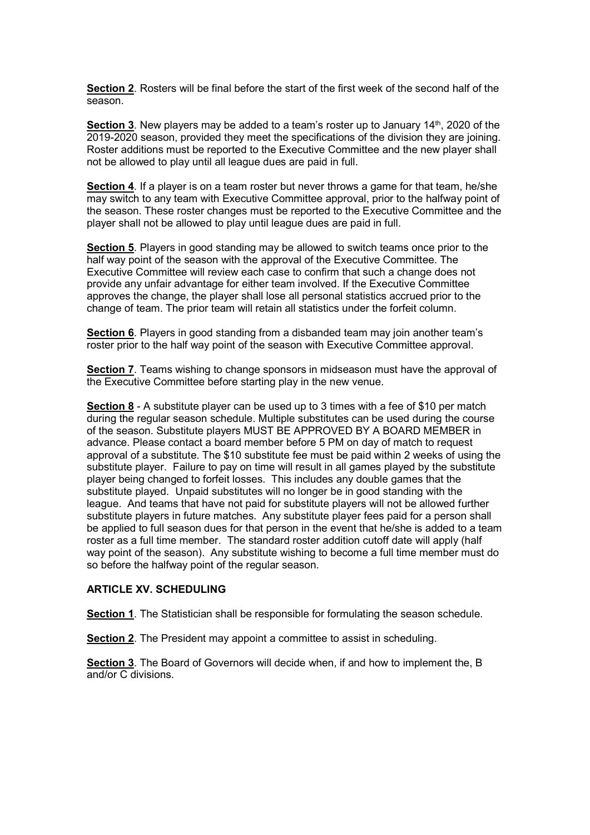Section 2. Rosters will be final before the start of the first week of the second half of the season.

**Section 3.** New players may be added to a team's roster up to January  $14<sup>th</sup>$ , 2020 of the 2019-2020 season, provided they meet the specifications of the division they are joining. Roster additions must be reported to the Executive Committee and the new player shall not be allowed to play until all league dues are paid in full.

Section 4. If a player is on a team roster but never throws a game for that team, he/she may switch to any team with Executive Committee approval, prior to the halfway point of the season. These roster changes must be reported to the Executive Committee and the player shall not be allowed to play until league dues are paid in full.

Section 5. Players in good standing may be allowed to switch teams once prior to the half way point of the season with the approval of the Executive Committee. The Executive Committee will review each case to confirm that such a change does not provide any unfair advantage for either team involved. If the Executive Committee approves the change, the player shall lose all personal statistics accrued prior to the change of team. The prior team will retain all statistics under the forfeit column.

Section 6. Players in good standing from a disbanded team may join another team's roster prior to the half way point of the season with Executive Committee approval.

Section 7. Teams wishing to change sponsors in midseason must have the approval of the Executive Committee before starting play in the new venue.

Section 8 - A substitute player can be used up to 3 times with a fee of \$10 per match during the regular season schedule. Multiple substitutes can be used during the course of the season. Substitute players MUST BE APPROVED BY A BOARD MEMBER in advance. Please contact a board member before 5 PM on day of match to request approval of a substitute. The \$10 substitute fee must be paid within 2 weeks of using the substitute player. Failure to pay on time will result in all games played by the substitute player being changed to forfeit losses. This includes any double games that the substitute played. Unpaid substitutes will no longer be in good standing with the league. And teams that have not paid for substitute players will not be allowed further substitute players in future matches. Any substitute player fees paid for a person shall be applied to full season dues for that person in the event that he/she is added to a team roster as a full time member. The standard roster addition cutoff date will apply (half way point of the season). Any substitute wishing to become a full time member must do so before the halfway point of the regular season.

#### ARTICLE XV. SCHEDULING

Section 1. The Statistician shall be responsible for formulating the season schedule.

Section 2. The President may appoint a committee to assist in scheduling.

Section 3. The Board of Governors will decide when, if and how to implement the, B and/or C divisions.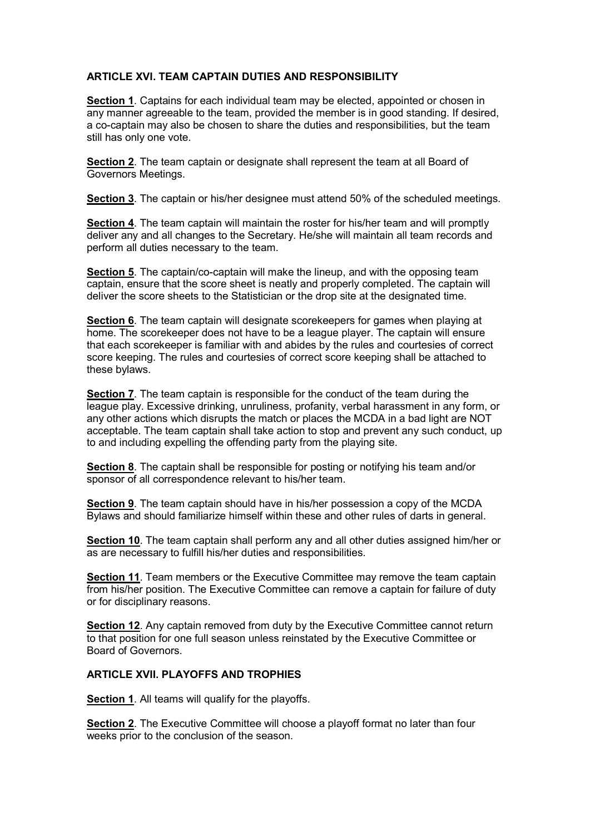# ARTICLE XVI. TEAM CAPTAIN DUTIES AND RESPONSIBILITY

Section 1. Captains for each individual team may be elected, appointed or chosen in any manner agreeable to the team, provided the member is in good standing. If desired, a co-captain may also be chosen to share the duties and responsibilities, but the team still has only one vote.

Section 2. The team captain or designate shall represent the team at all Board of Governors Meetings.

Section 3. The captain or his/her designee must attend 50% of the scheduled meetings.

Section 4. The team captain will maintain the roster for his/her team and will promptly deliver any and all changes to the Secretary. He/she will maintain all team records and perform all duties necessary to the team.

Section 5. The captain/co-captain will make the lineup, and with the opposing team captain, ensure that the score sheet is neatly and properly completed. The captain will deliver the score sheets to the Statistician or the drop site at the designated time.

Section 6. The team captain will designate scorekeepers for games when playing at home. The scorekeeper does not have to be a league player. The captain will ensure that each scorekeeper is familiar with and abides by the rules and courtesies of correct score keeping. The rules and courtesies of correct score keeping shall be attached to these bylaws.

Section 7. The team captain is responsible for the conduct of the team during the league play. Excessive drinking, unruliness, profanity, verbal harassment in any form, or any other actions which disrupts the match or places the MCDA in a bad light are NOT acceptable. The team captain shall take action to stop and prevent any such conduct, up to and including expelling the offending party from the playing site.

Section 8. The captain shall be responsible for posting or notifying his team and/or sponsor of all correspondence relevant to his/her team.

Section 9. The team captain should have in his/her possession a copy of the MCDA Bylaws and should familiarize himself within these and other rules of darts in general.

Section 10. The team captain shall perform any and all other duties assigned him/her or as are necessary to fulfill his/her duties and responsibilities.

Section 11. Team members or the Executive Committee may remove the team captain from his/her position. The Executive Committee can remove a captain for failure of duty or for disciplinary reasons.

Section 12. Any captain removed from duty by the Executive Committee cannot return to that position for one full season unless reinstated by the Executive Committee or Board of Governors.

# ARTICLE XVII. PLAYOFFS AND TROPHIES

Section 1. All teams will qualify for the playoffs.

Section 2. The Executive Committee will choose a playoff format no later than four weeks prior to the conclusion of the season.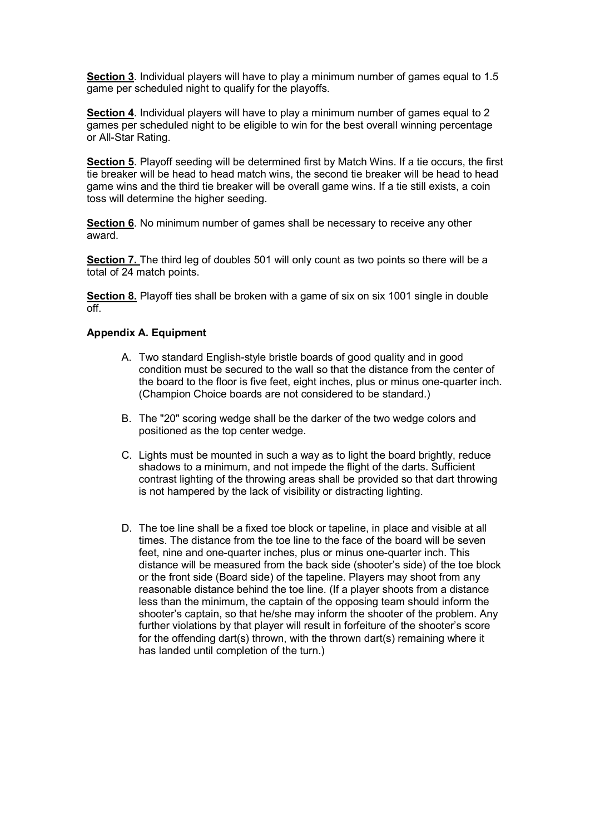Section 3. Individual players will have to play a minimum number of games equal to 1.5 game per scheduled night to qualify for the playoffs.

Section 4. Individual players will have to play a minimum number of games equal to 2 games per scheduled night to be eligible to win for the best overall winning percentage or All-Star Rating.

Section 5. Playoff seeding will be determined first by Match Wins. If a tie occurs, the first tie breaker will be head to head match wins, the second tie breaker will be head to head game wins and the third tie breaker will be overall game wins. If a tie still exists, a coin toss will determine the higher seeding.

Section 6. No minimum number of games shall be necessary to receive any other award.

Section 7. The third leg of doubles 501 will only count as two points so there will be a total of 24 match points.

Section 8. Playoff ties shall be broken with a game of six on six 1001 single in double  $\overline{off}$ 

## Appendix A. Equipment

- A. Two standard English-style bristle boards of good quality and in good condition must be secured to the wall so that the distance from the center of the board to the floor is five feet, eight inches, plus or minus one-quarter inch. (Champion Choice boards are not considered to be standard.)
- B. The "20" scoring wedge shall be the darker of the two wedge colors and positioned as the top center wedge.
- C. Lights must be mounted in such a way as to light the board brightly, reduce shadows to a minimum, and not impede the flight of the darts. Sufficient contrast lighting of the throwing areas shall be provided so that dart throwing is not hampered by the lack of visibility or distracting lighting.
- D. The toe line shall be a fixed toe block or tapeline, in place and visible at all times. The distance from the toe line to the face of the board will be seven feet, nine and one-quarter inches, plus or minus one-quarter inch. This distance will be measured from the back side (shooter's side) of the toe block or the front side (Board side) of the tapeline. Players may shoot from any reasonable distance behind the toe line. (If a player shoots from a distance less than the minimum, the captain of the opposing team should inform the shooter's captain, so that he/she may inform the shooter of the problem. Any further violations by that player will result in forfeiture of the shooter's score for the offending dart(s) thrown, with the thrown dart(s) remaining where it has landed until completion of the turn.)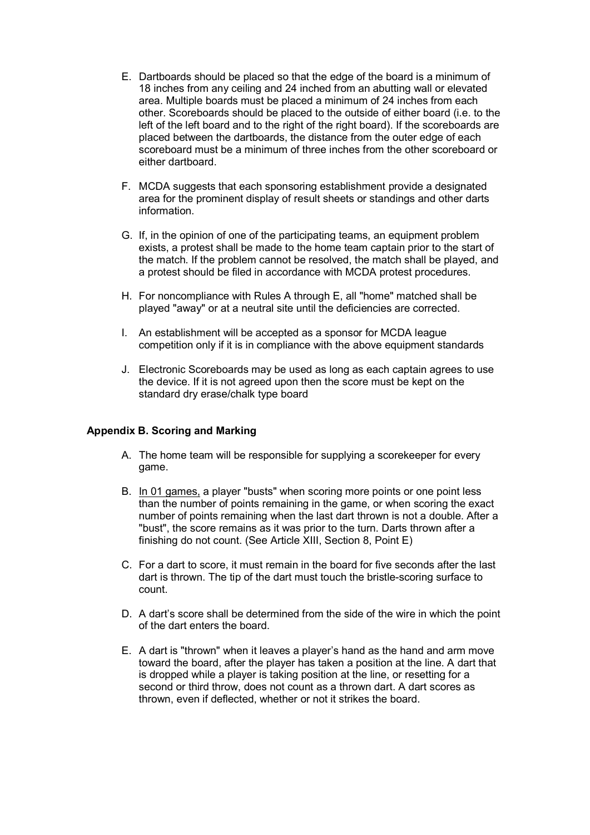- E. Dartboards should be placed so that the edge of the board is a minimum of 18 inches from any ceiling and 24 inched from an abutting wall or elevated area. Multiple boards must be placed a minimum of 24 inches from each other. Scoreboards should be placed to the outside of either board (i.e. to the left of the left board and to the right of the right board). If the scoreboards are placed between the dartboards, the distance from the outer edge of each scoreboard must be a minimum of three inches from the other scoreboard or either dartboard.
- F. MCDA suggests that each sponsoring establishment provide a designated area for the prominent display of result sheets or standings and other darts information.
- G. If, in the opinion of one of the participating teams, an equipment problem exists, a protest shall be made to the home team captain prior to the start of the match. If the problem cannot be resolved, the match shall be played, and a protest should be filed in accordance with MCDA protest procedures.
- H. For noncompliance with Rules A through E, all "home" matched shall be played "away" or at a neutral site until the deficiencies are corrected.
- I. An establishment will be accepted as a sponsor for MCDA league competition only if it is in compliance with the above equipment standards
- J. Electronic Scoreboards may be used as long as each captain agrees to use the device. If it is not agreed upon then the score must be kept on the standard dry erase/chalk type board

# Appendix B. Scoring and Marking

- A. The home team will be responsible for supplying a scorekeeper for every game.
- B. In 01 games, a player "busts" when scoring more points or one point less than the number of points remaining in the game, or when scoring the exact number of points remaining when the last dart thrown is not a double. After a "bust", the score remains as it was prior to the turn. Darts thrown after a finishing do not count. (See Article XIII, Section 8, Point E)
- C. For a dart to score, it must remain in the board for five seconds after the last dart is thrown. The tip of the dart must touch the bristle-scoring surface to count.
- D. A dart's score shall be determined from the side of the wire in which the point of the dart enters the board.
- E. A dart is "thrown" when it leaves a player's hand as the hand and arm move toward the board, after the player has taken a position at the line. A dart that is dropped while a player is taking position at the line, or resetting for a second or third throw, does not count as a thrown dart. A dart scores as thrown, even if deflected, whether or not it strikes the board.